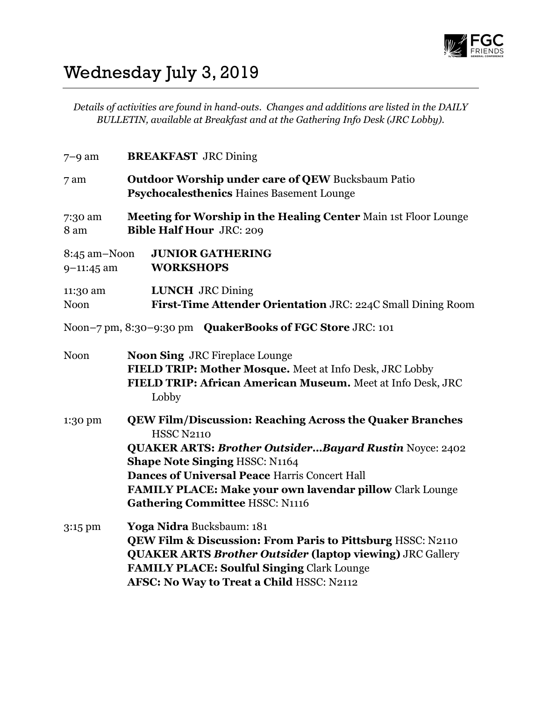

## Wednesday July 3, 2019

Details of activities are found in hand-outs. Changes and additions are listed in the DAILY BULLETIN, available at Breakfast and at the Gathering Info Desk (JRC Lobby).

| $7-9$ am                       | <b>BREAKFAST JRC Dining</b>                                                                                                                                                                                                                                                                                                                                         |
|--------------------------------|---------------------------------------------------------------------------------------------------------------------------------------------------------------------------------------------------------------------------------------------------------------------------------------------------------------------------------------------------------------------|
| 7 am                           | <b>Outdoor Worship under care of QEW Bucksbaum Patio</b><br><b>Psychocalesthenics Haines Basement Lounge</b>                                                                                                                                                                                                                                                        |
| 7:30 am<br>8 am                | Meeting for Worship in the Healing Center Main 1st Floor Lounge<br><b>Bible Half Hour JRC: 209</b>                                                                                                                                                                                                                                                                  |
| 8:45 am-Noon<br>$9 - 11:45$ am | <b>JUNIOR GATHERING</b><br><b>WORKSHOPS</b>                                                                                                                                                                                                                                                                                                                         |
| 11:30 am<br><b>Noon</b>        | <b>LUNCH</b> JRC Dining<br>First-Time Attender Orientation JRC: 224C Small Dining Room                                                                                                                                                                                                                                                                              |
|                                | Noon-7 pm, 8:30-9:30 pm QuakerBooks of FGC Store JRC: 101                                                                                                                                                                                                                                                                                                           |
| <b>Noon</b>                    | <b>Noon Sing JRC Fireplace Lounge</b><br>FIELD TRIP: Mother Mosque. Meet at Info Desk, JRC Lobby<br>FIELD TRIP: African American Museum. Meet at Info Desk, JRC<br>Lobby                                                                                                                                                                                            |
| 1:30 pm                        | <b>QEW Film/Discussion: Reaching Across the Quaker Branches</b><br><b>HSSC N2110</b><br><b>QUAKER ARTS: Brother OutsiderBayard Rustin Noyce: 2402</b><br><b>Shape Note Singing HSSC: N1164</b><br><b>Dances of Universal Peace Harris Concert Hall</b><br><b>FAMILY PLACE: Make your own lavendar pillow Clark Lounge</b><br><b>Gathering Committee HSSC: N1116</b> |
| 3:15 pm                        | Yoga Nidra Bucksbaum: 181<br>QEW Film & Discussion: From Paris to Pittsburg HSSC: N2110<br><b>QUAKER ARTS Brother Outsider (laptop viewing) JRC Gallery</b><br><b>FAMILY PLACE: Soulful Singing Clark Lounge</b><br>AFSC: No Way to Treat a Child HSSC: N2112                                                                                                       |